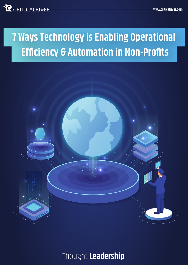

# **7 Ways Technology is Enabling Operational Efficiency & Automation in Non-Profits**



## Thought **Leadership**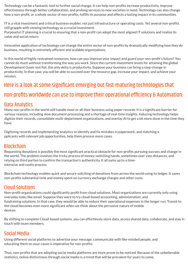Technology can be a fantastic tool to further social change. It can help non-profits increase productivity, improve effectiveness through better collaboration, and prolong services to new societies in need. Technology can also change how a non-profit, or a whole sector of non-profits, fulfills its purpose and effects a lasting impact in its communities.

IT is a vital investment and critical business enabler, not just infrastructure or operating costs. Yet several non-profits still grapple with viewing technology as a crucial investment.

Purposeful IT planning is crucial to ensuring that a non-profit can adopt the most aligned IT solutions and realize its value and social return.

Innovative application of technology can change the entire sector of non-profits by dramatically modifying how they do business, resulting in extremely efficient and scalable organizations.

In this world of highly restrained resources, how can you improve your impact and guard your non-profit's future? You cannot do much without transforming the way you work. Since the current investment levels for attaining the global Development Goals rest flat, the only delta is productivity. Suppose your business can bring a step-change in productivity. In that case, you will be able to succeed over the resource gap, increase your impact, and achieve your mission.

### Here is a look at some significant emerging but fast-maturing technologies that non-profits worldwide can use to improve their operational efficiency & Automation:

#### Data Analytics

Many non-profits in the world still handle most or all their business using paper records. It is a significant barrier for various reasons, including slow document processing and a shortage of real-time insights. Inducing technology helps digitize their records, consolidate multi-department organizations, and overlay AI to get a lot more done in the time they have.

Digitizing records and implementing analytics to identify and fix mistakes in paperwork, and matching a pplicants with relevant job opportunities, help them process more cases.

#### **Blockchain**

Requesting donations is possibly the most significant practical obstacle for non-profits pursuing success and change in the world. The problem involves the tricky process of money switching hands, sometimes over vast distances, and relying on third parties to confirm the transaction's authenticity. It all sums up to a timeintensive and costly process.

Blockchain technology enables quick and secure soliciting of donations from across the world using its ledger. It saves non-profits substantial time and money spent on currency exchange charges and other costs.

#### Cloud Solutions

Non-profit organizations could significantly profit from cloud solutions. Most organizations are currently only using everyday tasks like email. Suppose they were to try cloud-based accounting, administration, and fundraising solutions. In that case, they would be able to reduce their operational expenses in the longer run. Transit to the cloud becomes even more significant when we think about the pervasive nature of mobile devices.

By shifting to complete Cloud-based systems, you can effortlessly store data, access shared data, collaborate, and stay in touch with team members.

#### Social Media

Using different social platforms to advertise your message, communicate with like-minded people, and educating them on your cause is imperative for non-profits.

Thus, non-profits that are adopting social media platforms are more prone to be noticed. Because of the unbelievable statistics, online distinctness through social media is a trend that will be prevalent for years to come.